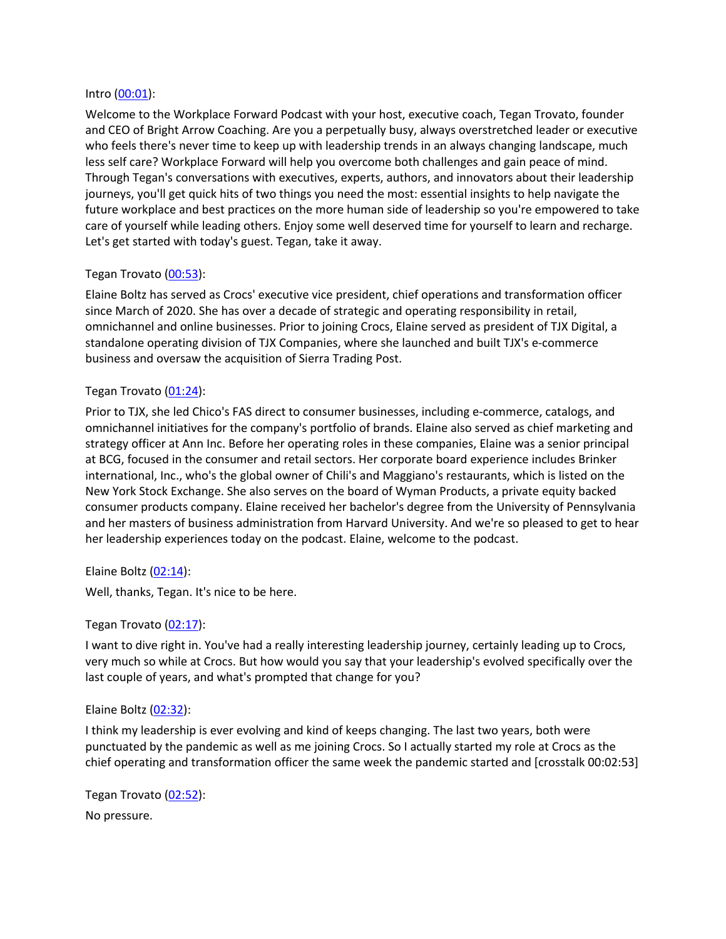#### Intro (00:01):

Welcome to the Workplace Forward Podcast with your host, executive coach, Tegan Trovato, founder and CEO of Bright Arrow Coaching. Are you a perpetually busy, always overstretched leader or executive who feels there's never time to keep up with leadership trends in an always changing landscape, much less self care? Workplace Forward will help you overcome both challenges and gain peace of mind. Through Tegan's conversations with executives, experts, authors, and innovators about their leadership journeys, you'll get quick hits of two things you need the most: essential insights to help navigate the future workplace and best practices on the more human side of leadership so you're empowered to take care of yourself while leading others. Enjoy some well deserved time for yourself to learn and recharge. Let's get started with today's guest. Tegan, take it away.

# Tegan Trovato (00:53):

Elaine Boltz has served as Crocs' executive vice president, chief operations and transformation officer since March of 2020. She has over a decade of strategic and operating responsibility in retail, omnichannel and online businesses. Prior to joining Crocs, Elaine served as president of TJX Digital, a standalone operating division of TJX Companies, where she launched and built TJX's e-commerce business and oversaw the acquisition of Sierra Trading Post.

## Tegan Trovato (01:24):

Prior to TJX, she led Chico's FAS direct to consumer businesses, including e-commerce, catalogs, and omnichannel initiatives for the company's portfolio of brands. Elaine also served as chief marketing and strategy officer at Ann Inc. Before her operating roles in these companies, Elaine was a senior principal at BCG, focused in the consumer and retail sectors. Her corporate board experience includes Brinker international, Inc., who's the global owner of Chili's and Maggiano's restaurants, which is listed on the New York Stock Exchange. She also serves on the board of Wyman Products, a private equity backed consumer products company. Elaine received her bachelor's degree from the University of Pennsylvania and her masters of business administration from Harvard University. And we're so pleased to get to hear her leadership experiences today on the podcast. Elaine, welcome to the podcast.

Elaine Boltz (02:14):

Well, thanks, Tegan. It's nice to be here.

## Tegan Trovato (02:17):

I want to dive right in. You've had a really interesting leadership journey, certainly leading up to Crocs, very much so while at Crocs. But how would you say that your leadership's evolved specifically over the last couple of years, and what's prompted that change for you?

#### Elaine Boltz (02:32):

I think my leadership is ever evolving and kind of keeps changing. The last two years, both were punctuated by the pandemic as well as me joining Crocs. So I actually started my role at Crocs as the chief operating and transformation officer the same week the pandemic started and [crosstalk 00:02:53]

Tegan Trovato (02:52): No pressure.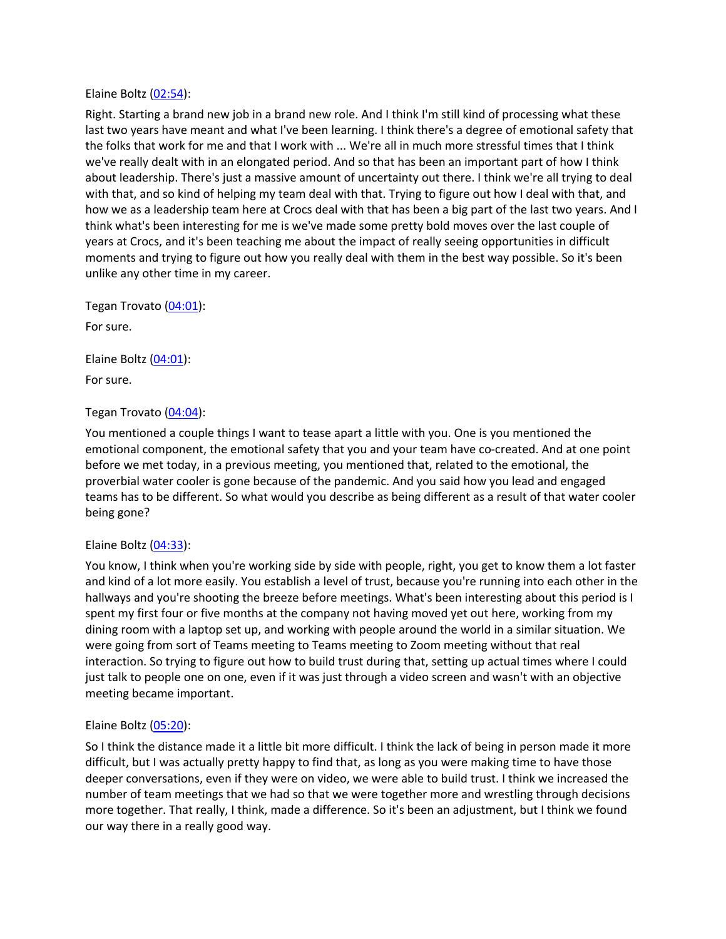#### Elaine Boltz (02:54):

Right. Starting a brand new job in a brand new role. And I think I'm still kind of processing what these last two years have meant and what I've been learning. I think there's a degree of emotional safety that the folks that work for me and that I work with ... We're all in much more stressful times that I think we've really dealt with in an elongated period. And so that has been an important part of how I think about leadership. There's just a massive amount of uncertainty out there. I think we're all trying to deal with that, and so kind of helping my team deal with that. Trying to figure out how I deal with that, and how we as a leadership team here at Crocs deal with that has been a big part of the last two years. And I think what's been interesting for me is we've made some pretty bold moves over the last couple of years at Crocs, and it's been teaching me about the impact of really seeing opportunities in difficult moments and trying to figure out how you really deal with them in the best way possible. So it's been unlike any other time in my career.

Tegan Trovato (04:01): For sure.

Elaine Boltz (04:01):

For sure.

# Tegan Trovato (04:04):

You mentioned a couple things I want to tease apart a little with you. One is you mentioned the emotional component, the emotional safety that you and your team have co-created. And at one point before we met today, in a previous meeting, you mentioned that, related to the emotional, the proverbial water cooler is gone because of the pandemic. And you said how you lead and engaged teams has to be different. So what would you describe as being different as a result of that water cooler being gone?

## Elaine Boltz  $(04:33)$ :

You know, I think when you're working side by side with people, right, you get to know them a lot faster and kind of a lot more easily. You establish a level of trust, because you're running into each other in the hallways and you're shooting the breeze before meetings. What's been interesting about this period is I spent my first four or five months at the company not having moved yet out here, working from my dining room with a laptop set up, and working with people around the world in a similar situation. We were going from sort of Teams meeting to Teams meeting to Zoom meeting without that real interaction. So trying to figure out how to build trust during that, setting up actual times where I could just talk to people one on one, even if it was just through a video screen and wasn't with an objective meeting became important.

## Elaine Boltz (05:20):

So I think the distance made it a little bit more difficult. I think the lack of being in person made it more difficult, but I was actually pretty happy to find that, as long as you were making time to have those deeper conversations, even if they were on video, we were able to build trust. I think we increased the number of team meetings that we had so that we were together more and wrestling through decisions more together. That really, I think, made a difference. So it's been an adjustment, but I think we found our way there in a really good way.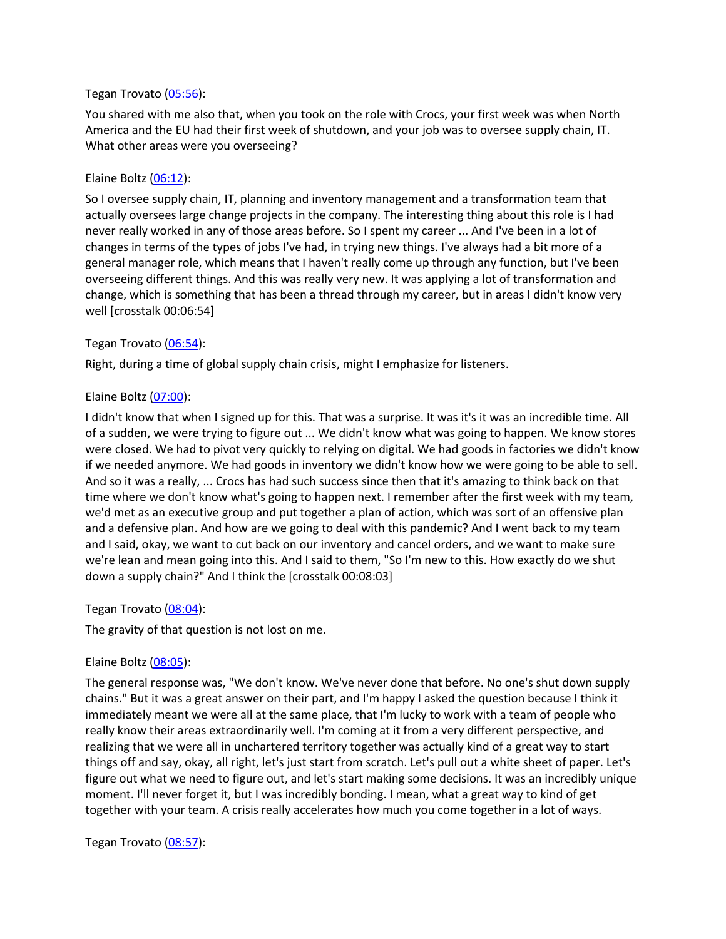#### Tegan Trovato (05:56):

You shared with me also that, when you took on the role with Crocs, your first week was when North America and the EU had their first week of shutdown, and your job was to oversee supply chain, IT. What other areas were you overseeing?

#### Elaine Boltz (06:12):

So I oversee supply chain, IT, planning and inventory management and a transformation team that actually oversees large change projects in the company. The interesting thing about this role is I had never really worked in any of those areas before. So I spent my career ... And I've been in a lot of changes in terms of the types of jobs I've had, in trying new things. I've always had a bit more of a general manager role, which means that I haven't really come up through any function, but I've been overseeing different things. And this was really very new. It was applying a lot of transformation and change, which is something that has been a thread through my career, but in areas I didn't know very well [crosstalk 00:06:54]

#### Tegan Trovato (06:54):

Right, during a time of global supply chain crisis, might I emphasize for listeners.

#### Elaine Boltz (07:00):

I didn't know that when I signed up for this. That was a surprise. It was it's it was an incredible time. All of a sudden, we were trying to figure out ... We didn't know what was going to happen. We know stores were closed. We had to pivot very quickly to relying on digital. We had goods in factories we didn't know if we needed anymore. We had goods in inventory we didn't know how we were going to be able to sell. And so it was a really, ... Crocs has had such success since then that it's amazing to think back on that time where we don't know what's going to happen next. I remember after the first week with my team, we'd met as an executive group and put together a plan of action, which was sort of an offensive plan and a defensive plan. And how are we going to deal with this pandemic? And I went back to my team and I said, okay, we want to cut back on our inventory and cancel orders, and we want to make sure we're lean and mean going into this. And I said to them, "So I'm new to this. How exactly do we shut down a supply chain?" And I think the [crosstalk 00:08:03]

## Tegan Trovato (08:04):

The gravity of that question is not lost on me.

## Elaine Boltz (08:05):

The general response was, "We don't know. We've never done that before. No one's shut down supply chains." But it was a great answer on their part, and I'm happy I asked the question because I think it immediately meant we were all at the same place, that I'm lucky to work with a team of people who really know their areas extraordinarily well. I'm coming at it from a very different perspective, and realizing that we were all in unchartered territory together was actually kind of a great way to start things off and say, okay, all right, let's just start from scratch. Let's pull out a white sheet of paper. Let's figure out what we need to figure out, and let's start making some decisions. It was an incredibly unique moment. I'll never forget it, but I was incredibly bonding. I mean, what a great way to kind of get together with your team. A crisis really accelerates how much you come together in a lot of ways.

#### Tegan Trovato (08:57):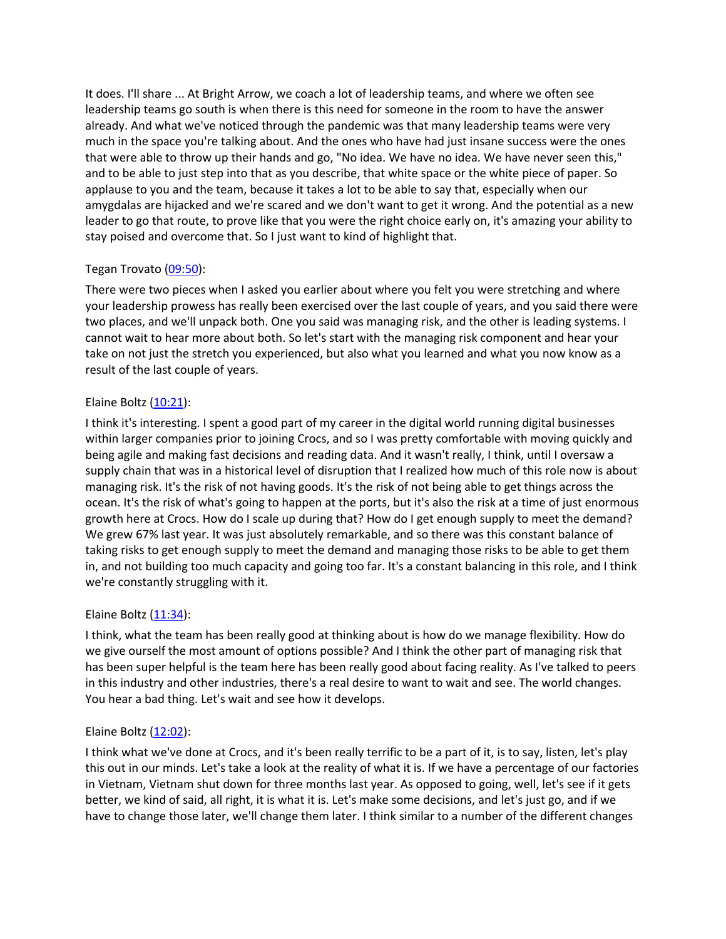It does. I'll share ... At Bright Arrow, we coach a lot of leadership teams, and where we often see leadership teams go south is when there is this need for someone in the room to have the answer already. And what we've noticed through the pandemic was that many leadership teams were very much in the space you're talking about. And the ones who have had just insane success were the ones that were able to throw up their hands and go, "No idea. We have no idea. We have never seen this," and to be able to just step into that as you describe, that white space or the white piece of paper. So applause to you and the team, because it takes a lot to be able to say that, especially when our amygdalas are hijacked and we're scared and we don't want to get it wrong. And the potential as a new leader to go that route, to prove like that you were the right choice early on, it's amazing your ability to stay poised and overcome that. So I just want to kind of highlight that.

# Tegan Trovato (09:50):

There were two pieces when I asked you earlier about where you felt you were stretching and where your leadership prowess has really been exercised over the last couple of years, and you said there were two places, and we'll unpack both. One you said was managing risk, and the other is leading systems. I cannot wait to hear more about both. So let's start with the managing risk component and hear your take on not just the stretch you experienced, but also what you learned and what you now know as a result of the last couple of years.

# Elaine Boltz  $(10:21)$ :

I think it's interesting. I spent a good part of my career in the digital world running digital businesses within larger companies prior to joining Crocs, and so I was pretty comfortable with moving quickly and being agile and making fast decisions and reading data. And it wasn't really, I think, until I oversaw a supply chain that was in a historical level of disruption that I realized how much of this role now is about managing risk. It's the risk of not having goods. It's the risk of not being able to get things across the ocean. It's the risk of what's going to happen at the ports, but it's also the risk at a time of just enormous growth here at Crocs. How do I scale up during that? How do I get enough supply to meet the demand? We grew 67% last year. It was just absolutely remarkable, and so there was this constant balance of taking risks to get enough supply to meet the demand and managing those risks to be able to get them in, and not building too much capacity and going too far. It's a constant balancing in this role, and I think we're constantly struggling with it.

## Elaine Boltz (11:34):

I think, what the team has been really good at thinking about is how do we manage flexibility. How do we give ourself the most amount of options possible? And I think the other part of managing risk that has been super helpful is the team here has been really good about facing reality. As I've talked to peers in this industry and other industries, there's a real desire to want to wait and see. The world changes. You hear a bad thing. Let's wait and see how it develops.

## Elaine Boltz (12:02):

I think what we've done at Crocs, and it's been really terrific to be a part of it, is to say, listen, let's play this out in our minds. Let's take a look at the reality of what it is. If we have a percentage of our factories in Vietnam, Vietnam shut down for three months last year. As opposed to going, well, let's see if it gets better, we kind of said, all right, it is what it is. Let's make some decisions, and let's just go, and if we have to change those later, we'll change them later. I think similar to a number of the different changes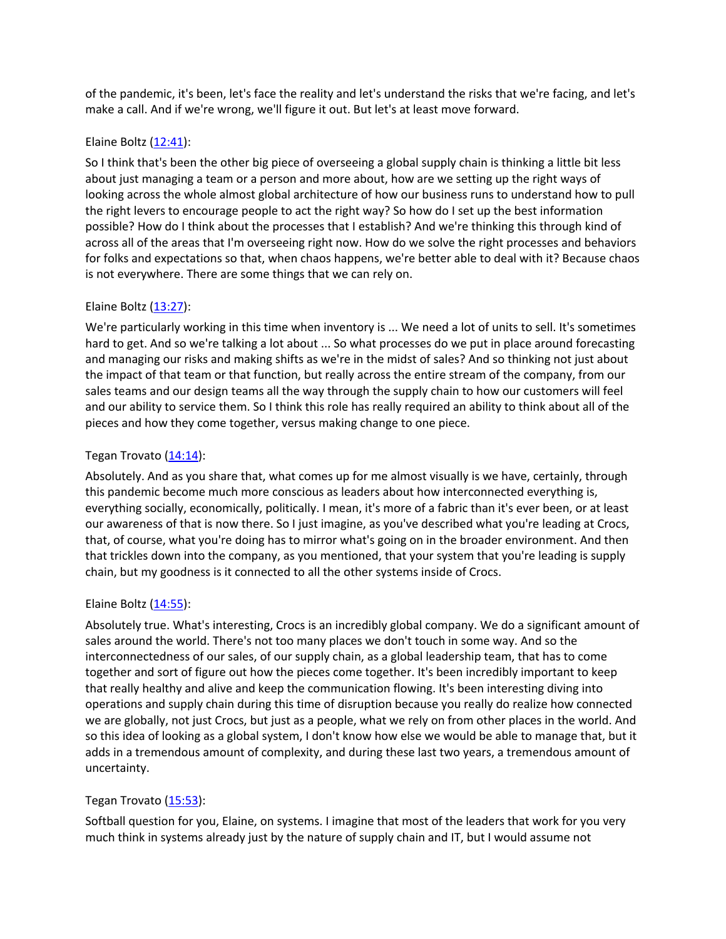of the pandemic, it's been, let's face the reality and let's understand the risks that we're facing, and let's make a call. And if we're wrong, we'll figure it out. But let's at least move forward.

## Elaine Boltz (12:41):

So I think that's been the other big piece of overseeing a global supply chain is thinking a little bit less about just managing a team or a person and more about, how are we setting up the right ways of looking across the whole almost global architecture of how our business runs to understand how to pull the right levers to encourage people to act the right way? So how do I set up the best information possible? How do I think about the processes that I establish? And we're thinking this through kind of across all of the areas that I'm overseeing right now. How do we solve the right processes and behaviors for folks and expectations so that, when chaos happens, we're better able to deal with it? Because chaos is not everywhere. There are some things that we can rely on.

# Elaine Boltz (13:27):

We're particularly working in this time when inventory is ... We need a lot of units to sell. It's sometimes hard to get. And so we're talking a lot about ... So what processes do we put in place around forecasting and managing our risks and making shifts as we're in the midst of sales? And so thinking not just about the impact of that team or that function, but really across the entire stream of the company, from our sales teams and our design teams all the way through the supply chain to how our customers will feel and our ability to service them. So I think this role has really required an ability to think about all of the pieces and how they come together, versus making change to one piece.

# Tegan Trovato  $(14:14)$ :

Absolutely. And as you share that, what comes up for me almost visually is we have, certainly, through this pandemic become much more conscious as leaders about how interconnected everything is, everything socially, economically, politically. I mean, it's more of a fabric than it's ever been, or at least our awareness of that is now there. So I just imagine, as you've described what you're leading at Crocs, that, of course, what you're doing has to mirror what's going on in the broader environment. And then that trickles down into the company, as you mentioned, that your system that you're leading is supply chain, but my goodness is it connected to all the other systems inside of Crocs.

## Elaine Boltz  $(14:55)$ :

Absolutely true. What's interesting, Crocs is an incredibly global company. We do a significant amount of sales around the world. There's not too many places we don't touch in some way. And so the interconnectedness of our sales, of our supply chain, as a global leadership team, that has to come together and sort of figure out how the pieces come together. It's been incredibly important to keep that really healthy and alive and keep the communication flowing. It's been interesting diving into operations and supply chain during this time of disruption because you really do realize how connected we are globally, not just Crocs, but just as a people, what we rely on from other places in the world. And so this idea of looking as a global system, I don't know how else we would be able to manage that, but it adds in a tremendous amount of complexity, and during these last two years, a tremendous amount of uncertainty.

## Tegan Trovato (15:53):

Softball question for you, Elaine, on systems. I imagine that most of the leaders that work for you very much think in systems already just by the nature of supply chain and IT, but I would assume not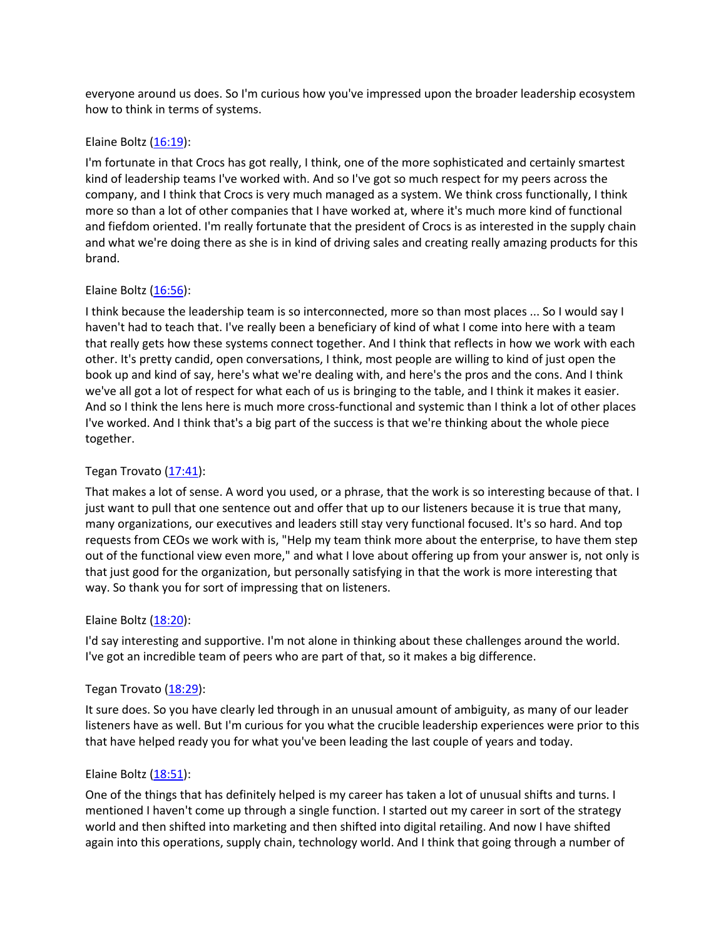everyone around us does. So I'm curious how you've impressed upon the broader leadership ecosystem how to think in terms of systems.

## Elaine Boltz (16:19):

I'm fortunate in that Crocs has got really, I think, one of the more sophisticated and certainly smartest kind of leadership teams I've worked with. And so I've got so much respect for my peers across the company, and I think that Crocs is very much managed as a system. We think cross functionally, I think more so than a lot of other companies that I have worked at, where it's much more kind of functional and fiefdom oriented. I'm really fortunate that the president of Crocs is as interested in the supply chain and what we're doing there as she is in kind of driving sales and creating really amazing products for this brand.

#### Elaine Boltz (16:56):

I think because the leadership team is so interconnected, more so than most places ... So I would say I haven't had to teach that. I've really been a beneficiary of kind of what I come into here with a team that really gets how these systems connect together. And I think that reflects in how we work with each other. It's pretty candid, open conversations, I think, most people are willing to kind of just open the book up and kind of say, here's what we're dealing with, and here's the pros and the cons. And I think we've all got a lot of respect for what each of us is bringing to the table, and I think it makes it easier. And so I think the lens here is much more cross-functional and systemic than I think a lot of other places I've worked. And I think that's a big part of the success is that we're thinking about the whole piece together.

## Tegan Trovato (17:41):

That makes a lot of sense. A word you used, or a phrase, that the work is so interesting because of that. I just want to pull that one sentence out and offer that up to our listeners because it is true that many, many organizations, our executives and leaders still stay very functional focused. It's so hard. And top requests from CEOs we work with is, "Help my team think more about the enterprise, to have them step out of the functional view even more," and what I love about offering up from your answer is, not only is that just good for the organization, but personally satisfying in that the work is more interesting that way. So thank you for sort of impressing that on listeners.

#### Elaine Boltz (18:20):

I'd say interesting and supportive. I'm not alone in thinking about these challenges around the world. I've got an incredible team of peers who are part of that, so it makes a big difference.

## Tegan Trovato (18:29):

It sure does. So you have clearly led through in an unusual amount of ambiguity, as many of our leader listeners have as well. But I'm curious for you what the crucible leadership experiences were prior to this that have helped ready you for what you've been leading the last couple of years and today.

#### Elaine Boltz (18:51):

One of the things that has definitely helped is my career has taken a lot of unusual shifts and turns. I mentioned I haven't come up through a single function. I started out my career in sort of the strategy world and then shifted into marketing and then shifted into digital retailing. And now I have shifted again into this operations, supply chain, technology world. And I think that going through a number of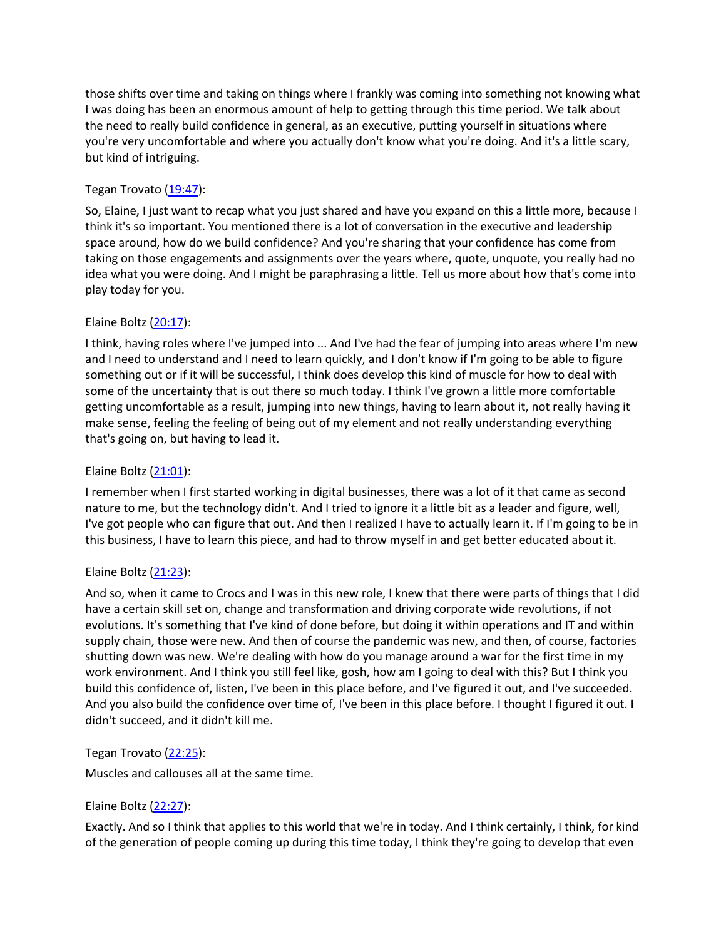those shifts over time and taking on things where I frankly was coming into something not knowing what I was doing has been an enormous amount of help to getting through this time period. We talk about the need to really build confidence in general, as an executive, putting yourself in situations where you're very uncomfortable and where you actually don't know what you're doing. And it's a little scary, but kind of intriguing.

# Tegan Trovato (19:47):

So, Elaine, I just want to recap what you just shared and have you expand on this a little more, because I think it's so important. You mentioned there is a lot of conversation in the executive and leadership space around, how do we build confidence? And you're sharing that your confidence has come from taking on those engagements and assignments over the years where, quote, unquote, you really had no idea what you were doing. And I might be paraphrasing a little. Tell us more about how that's come into play today for you.

# Elaine Boltz (20:17):

I think, having roles where I've jumped into ... And I've had the fear of jumping into areas where I'm new and I need to understand and I need to learn quickly, and I don't know if I'm going to be able to figure something out or if it will be successful, I think does develop this kind of muscle for how to deal with some of the uncertainty that is out there so much today. I think I've grown a little more comfortable getting uncomfortable as a result, jumping into new things, having to learn about it, not really having it make sense, feeling the feeling of being out of my element and not really understanding everything that's going on, but having to lead it.

## Elaine Boltz (21:01):

I remember when I first started working in digital businesses, there was a lot of it that came as second nature to me, but the technology didn't. And I tried to ignore it a little bit as a leader and figure, well, I've got people who can figure that out. And then I realized I have to actually learn it. If I'm going to be in this business, I have to learn this piece, and had to throw myself in and get better educated about it.

## Elaine Boltz (21:23):

And so, when it came to Crocs and I was in this new role, I knew that there were parts of things that I did have a certain skill set on, change and transformation and driving corporate wide revolutions, if not evolutions. It's something that I've kind of done before, but doing it within operations and IT and within supply chain, those were new. And then of course the pandemic was new, and then, of course, factories shutting down was new. We're dealing with how do you manage around a war for the first time in my work environment. And I think you still feel like, gosh, how am I going to deal with this? But I think you build this confidence of, listen, I've been in this place before, and I've figured it out, and I've succeeded. And you also build the confidence over time of, I've been in this place before. I thought I figured it out. I didn't succeed, and it didn't kill me.

## Tegan Trovato (22:25):

Muscles and callouses all at the same time.

# Elaine Boltz (22:27):

Exactly. And so I think that applies to this world that we're in today. And I think certainly, I think, for kind of the generation of people coming up during this time today, I think they're going to develop that even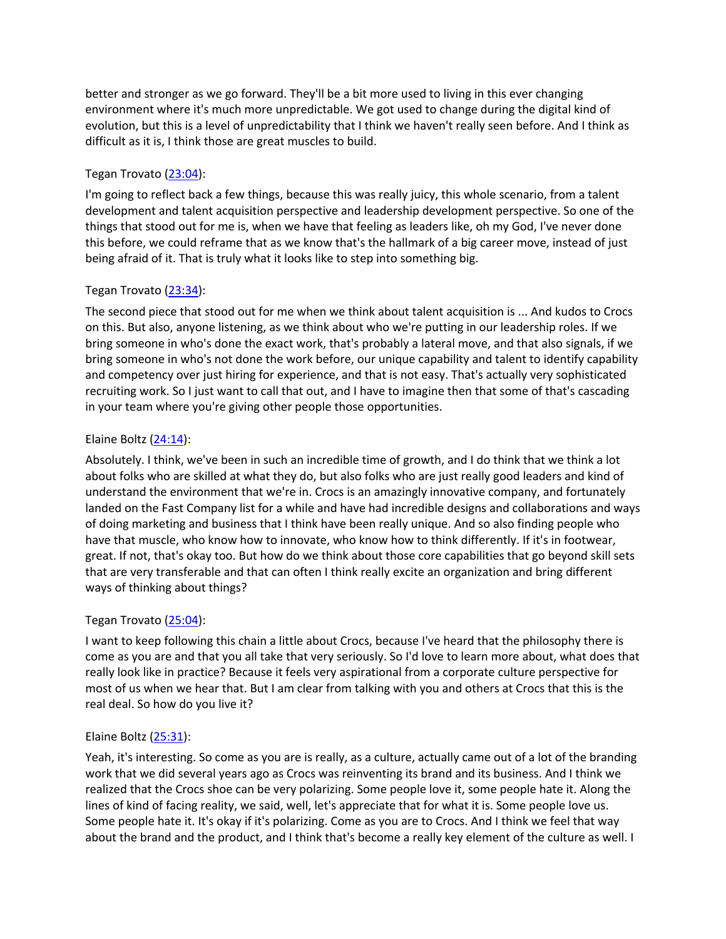better and stronger as we go forward. They'll be a bit more used to living in this ever changing environment where it's much more unpredictable. We got used to change during the digital kind of evolution, but this is a level of unpredictability that I think we haven't really seen before. And I think as difficult as it is, I think those are great muscles to build.

# Tegan Trovato (23:04):

I'm going to reflect back a few things, because this was really juicy, this whole scenario, from a talent development and talent acquisition perspective and leadership development perspective. So one of the things that stood out for me is, when we have that feeling as leaders like, oh my God, I've never done this before, we could reframe that as we know that's the hallmark of a big career move, instead of just being afraid of it. That is truly what it looks like to step into something big.

# Tegan Trovato (23:34):

The second piece that stood out for me when we think about talent acquisition is ... And kudos to Crocs on this. But also, anyone listening, as we think about who we're putting in our leadership roles. If we bring someone in who's done the exact work, that's probably a lateral move, and that also signals, if we bring someone in who's not done the work before, our unique capability and talent to identify capability and competency over just hiring for experience, and that is not easy. That's actually very sophisticated recruiting work. So I just want to call that out, and I have to imagine then that some of that's cascading in your team where you're giving other people those opportunities.

# Elaine Boltz (24:14):

Absolutely. I think, we've been in such an incredible time of growth, and I do think that we think a lot about folks who are skilled at what they do, but also folks who are just really good leaders and kind of understand the environment that we're in. Crocs is an amazingly innovative company, and fortunately landed on the Fast Company list for a while and have had incredible designs and collaborations and ways of doing marketing and business that I think have been really unique. And so also finding people who have that muscle, who know how to innovate, who know how to think differently. If it's in footwear, great. If not, that's okay too. But how do we think about those core capabilities that go beyond skill sets that are very transferable and that can often I think really excite an organization and bring different ways of thinking about things?

# Tegan Trovato (25:04):

I want to keep following this chain a little about Crocs, because I've heard that the philosophy there is come as you are and that you all take that very seriously. So I'd love to learn more about, what does that really look like in practice? Because it feels very aspirational from a corporate culture perspective for most of us when we hear that. But I am clear from talking with you and others at Crocs that this is the real deal. So how do you live it?

## Elaine Boltz (25:31):

Yeah, it's interesting. So come as you are is really, as a culture, actually came out of a lot of the branding work that we did several years ago as Crocs was reinventing its brand and its business. And I think we realized that the Crocs shoe can be very polarizing. Some people love it, some people hate it. Along the lines of kind of facing reality, we said, well, let's appreciate that for what it is. Some people love us. Some people hate it. It's okay if it's polarizing. Come as you are to Crocs. And I think we feel that way about the brand and the product, and I think that's become a really key element of the culture as well. I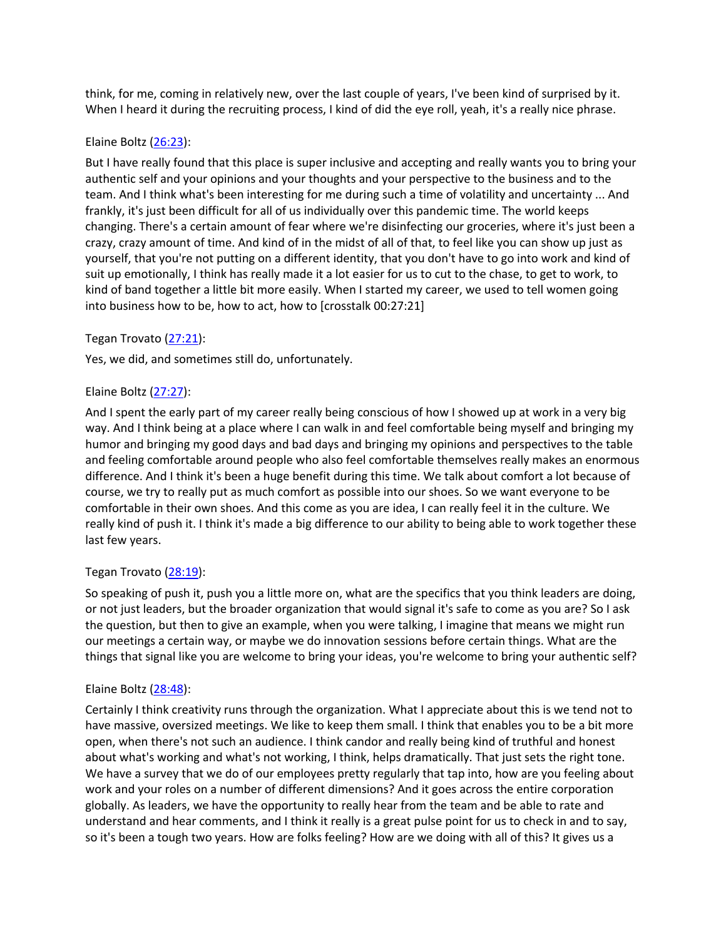think, for me, coming in relatively new, over the last couple of years, I've been kind of surprised by it. When I heard it during the recruiting process, I kind of did the eye roll, yeah, it's a really nice phrase.

#### Elaine Boltz (26:23):

But I have really found that this place is super inclusive and accepting and really wants you to bring your authentic self and your opinions and your thoughts and your perspective to the business and to the team. And I think what's been interesting for me during such a time of volatility and uncertainty ... And frankly, it's just been difficult for all of us individually over this pandemic time. The world keeps changing. There's a certain amount of fear where we're disinfecting our groceries, where it's just been a crazy, crazy amount of time. And kind of in the midst of all of that, to feel like you can show up just as yourself, that you're not putting on a different identity, that you don't have to go into work and kind of suit up emotionally, I think has really made it a lot easier for us to cut to the chase, to get to work, to kind of band together a little bit more easily. When I started my career, we used to tell women going into business how to be, how to act, how to [crosstalk 00:27:21]

#### Tegan Trovato (27:21):

Yes, we did, and sometimes still do, unfortunately.

#### Elaine Boltz (27:27):

And I spent the early part of my career really being conscious of how I showed up at work in a very big way. And I think being at a place where I can walk in and feel comfortable being myself and bringing my humor and bringing my good days and bad days and bringing my opinions and perspectives to the table and feeling comfortable around people who also feel comfortable themselves really makes an enormous difference. And I think it's been a huge benefit during this time. We talk about comfort a lot because of course, we try to really put as much comfort as possible into our shoes. So we want everyone to be comfortable in their own shoes. And this come as you are idea, I can really feel it in the culture. We really kind of push it. I think it's made a big difference to our ability to being able to work together these last few years.

#### Tegan Trovato (28:19):

So speaking of push it, push you a little more on, what are the specifics that you think leaders are doing, or not just leaders, but the broader organization that would signal it's safe to come as you are? So I ask the question, but then to give an example, when you were talking, I imagine that means we might run our meetings a certain way, or maybe we do innovation sessions before certain things. What are the things that signal like you are welcome to bring your ideas, you're welcome to bring your authentic self?

#### Elaine Boltz (28:48):

Certainly I think creativity runs through the organization. What I appreciate about this is we tend not to have massive, oversized meetings. We like to keep them small. I think that enables you to be a bit more open, when there's not such an audience. I think candor and really being kind of truthful and honest about what's working and what's not working, I think, helps dramatically. That just sets the right tone. We have a survey that we do of our employees pretty regularly that tap into, how are you feeling about work and your roles on a number of different dimensions? And it goes across the entire corporation globally. As leaders, we have the opportunity to really hear from the team and be able to rate and understand and hear comments, and I think it really is a great pulse point for us to check in and to say, so it's been a tough two years. How are folks feeling? How are we doing with all of this? It gives us a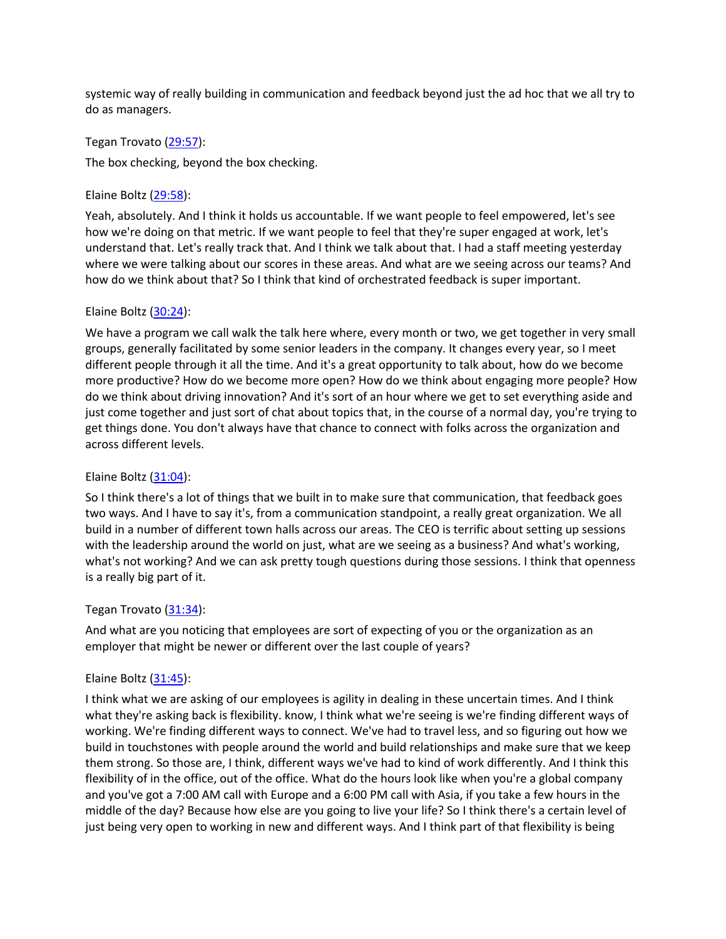systemic way of really building in communication and feedback beyond just the ad hoc that we all try to do as managers.

#### Tegan Trovato (29:57):

The box checking, beyond the box checking.

#### Elaine Boltz (29:58):

Yeah, absolutely. And I think it holds us accountable. If we want people to feel empowered, let's see how we're doing on that metric. If we want people to feel that they're super engaged at work, let's understand that. Let's really track that. And I think we talk about that. I had a staff meeting yesterday where we were talking about our scores in these areas. And what are we seeing across our teams? And how do we think about that? So I think that kind of orchestrated feedback is super important.

## Elaine Boltz  $(30:24)$ :

We have a program we call walk the talk here where, every month or two, we get together in very small groups, generally facilitated by some senior leaders in the company. It changes every year, so I meet different people through it all the time. And it's a great opportunity to talk about, how do we become more productive? How do we become more open? How do we think about engaging more people? How do we think about driving innovation? And it's sort of an hour where we get to set everything aside and just come together and just sort of chat about topics that, in the course of a normal day, you're trying to get things done. You don't always have that chance to connect with folks across the organization and across different levels.

## Elaine Boltz (31:04):

So I think there's a lot of things that we built in to make sure that communication, that feedback goes two ways. And I have to say it's, from a communication standpoint, a really great organization. We all build in a number of different town halls across our areas. The CEO is terrific about setting up sessions with the leadership around the world on just, what are we seeing as a business? And what's working, what's not working? And we can ask pretty tough questions during those sessions. I think that openness is a really big part of it.

## Tegan Trovato (31:34):

And what are you noticing that employees are sort of expecting of you or the organization as an employer that might be newer or different over the last couple of years?

#### Elaine Boltz  $(31:45)$ :

I think what we are asking of our employees is agility in dealing in these uncertain times. And I think what they're asking back is flexibility. know, I think what we're seeing is we're finding different ways of working. We're finding different ways to connect. We've had to travel less, and so figuring out how we build in touchstones with people around the world and build relationships and make sure that we keep them strong. So those are, I think, different ways we've had to kind of work differently. And I think this flexibility of in the office, out of the office. What do the hours look like when you're a global company and you've got a 7:00 AM call with Europe and a 6:00 PM call with Asia, if you take a few hours in the middle of the day? Because how else are you going to live your life? So I think there's a certain level of just being very open to working in new and different ways. And I think part of that flexibility is being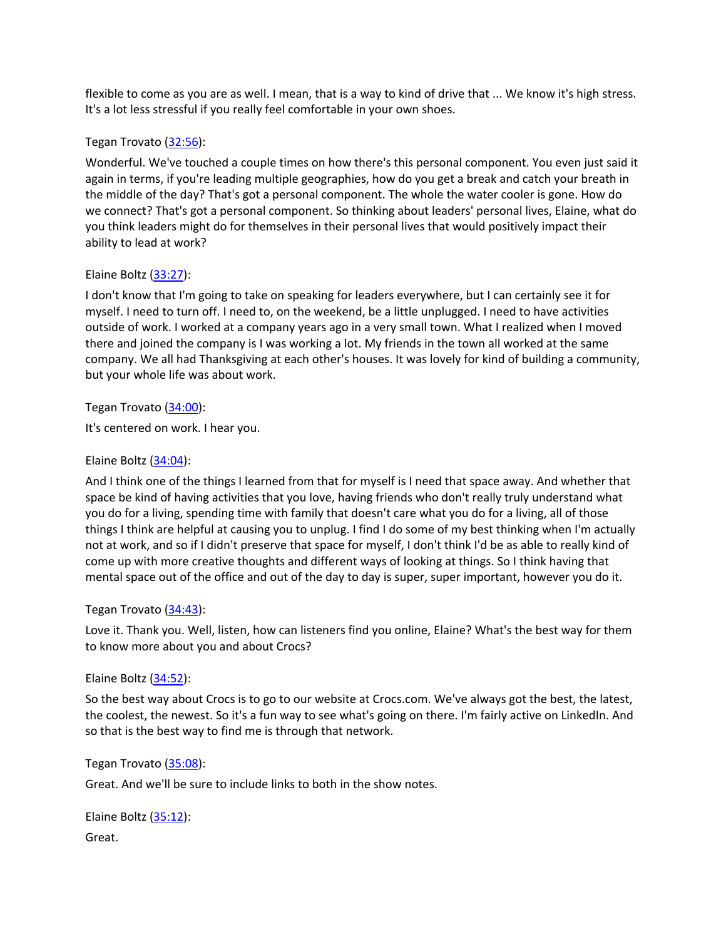flexible to come as you are as well. I mean, that is a way to kind of drive that ... We know it's high stress. It's a lot less stressful if you really feel comfortable in your own shoes.

## Tegan Trovato (32:56):

Wonderful. We've touched a couple times on how there's this personal component. You even just said it again in terms, if you're leading multiple geographies, how do you get a break and catch your breath in the middle of the day? That's got a personal component. The whole the water cooler is gone. How do we connect? That's got a personal component. So thinking about leaders' personal lives, Elaine, what do you think leaders might do for themselves in their personal lives that would positively impact their ability to lead at work?

## Elaine Boltz (33:27):

I don't know that I'm going to take on speaking for leaders everywhere, but I can certainly see it for myself. I need to turn off. I need to, on the weekend, be a little unplugged. I need to have activities outside of work. I worked at a company years ago in a very small town. What I realized when I moved there and joined the company is I was working a lot. My friends in the town all worked at the same company. We all had Thanksgiving at each other's houses. It was lovely for kind of building a community, but your whole life was about work.

## Tegan Trovato (34:00):

It's centered on work. I hear you.

#### Elaine Boltz  $(34:04)$ :

And I think one of the things I learned from that for myself is I need that space away. And whether that space be kind of having activities that you love, having friends who don't really truly understand what you do for a living, spending time with family that doesn't care what you do for a living, all of those things I think are helpful at causing you to unplug. I find I do some of my best thinking when I'm actually not at work, and so if I didn't preserve that space for myself, I don't think I'd be as able to really kind of come up with more creative thoughts and different ways of looking at things. So I think having that mental space out of the office and out of the day to day is super, super important, however you do it.

## Tegan Trovato (34:43):

Love it. Thank you. Well, listen, how can listeners find you online, Elaine? What's the best way for them to know more about you and about Crocs?

#### Elaine Boltz (34:52):

So the best way about Crocs is to go to our website at Crocs.com. We've always got the best, the latest, the coolest, the newest. So it's a fun way to see what's going on there. I'm fairly active on LinkedIn. And so that is the best way to find me is through that network.

#### Tegan Trovato (35:08):

Great. And we'll be sure to include links to both in the show notes.

Elaine Boltz (35:12): Great.